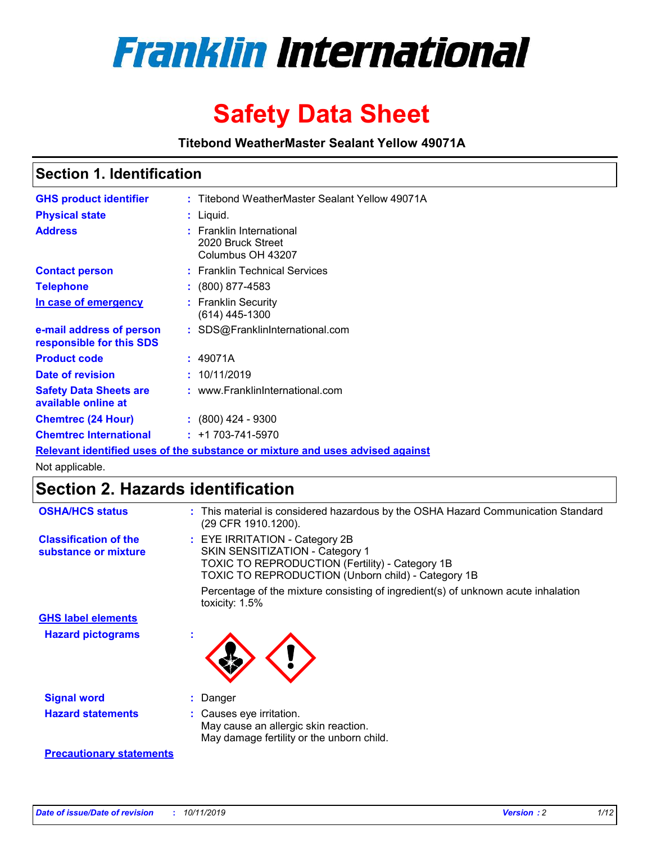

# **Safety Data Sheet**

**Titebond WeatherMaster Sealant Yellow 49071A**

### **Section 1. Identification**

| <b>GHS product identifier</b>                        | : Titebond WeatherMaster Sealant Yellow 49071A                                |
|------------------------------------------------------|-------------------------------------------------------------------------------|
| <b>Physical state</b>                                | $:$ Liquid.                                                                   |
| <b>Address</b>                                       | : Franklin International<br>2020 Bruck Street<br>Columbus OH 43207            |
| <b>Contact person</b>                                | : Franklin Technical Services                                                 |
| <b>Telephone</b>                                     | $\div$ (800) 877-4583                                                         |
| In case of emergency                                 | : Franklin Security<br>(614) 445-1300                                         |
| e-mail address of person<br>responsible for this SDS | : SDS@FranklinInternational.com                                               |
| <b>Product code</b>                                  | : 49071A                                                                      |
| Date of revision                                     | : 10/11/2019                                                                  |
| <b>Safety Data Sheets are</b><br>available online at | : www.FranklinInternational.com                                               |
| <b>Chemtrec (24 Hour)</b>                            | $\div$ (800) 424 - 9300                                                       |
| <b>Chemtrec International</b>                        | $: +1703 - 741 - 5970$                                                        |
|                                                      | Relevant identified uses of the substance or mixture and uses advised against |

Not applicable.

## **Section 2. Hazards identification**

| <b>OSHA/HCS status</b>                               | : This material is considered hazardous by the OSHA Hazard Communication Standard<br>(29 CFR 1910.1200).                                                                          |
|------------------------------------------------------|-----------------------------------------------------------------------------------------------------------------------------------------------------------------------------------|
| <b>Classification of the</b><br>substance or mixture | : EYE IRRITATION - Category 2B<br>SKIN SENSITIZATION - Category 1<br><b>TOXIC TO REPRODUCTION (Fertility) - Category 1B</b><br>TOXIC TO REPRODUCTION (Unborn child) - Category 1B |
|                                                      | Percentage of the mixture consisting of ingredient(s) of unknown acute inhalation<br>toxicity: $1.5\%$                                                                            |
| <b>GHS label elements</b>                            |                                                                                                                                                                                   |
| <b>Hazard pictograms</b>                             |                                                                                                                                                                                   |
| <b>Signal word</b>                                   | : Danger                                                                                                                                                                          |
| <b>Hazard statements</b>                             | : Causes eye irritation.<br>May cause an allergic skin reaction.<br>May damage fertility or the unborn child.                                                                     |
| <b>Precautionary statements</b>                      |                                                                                                                                                                                   |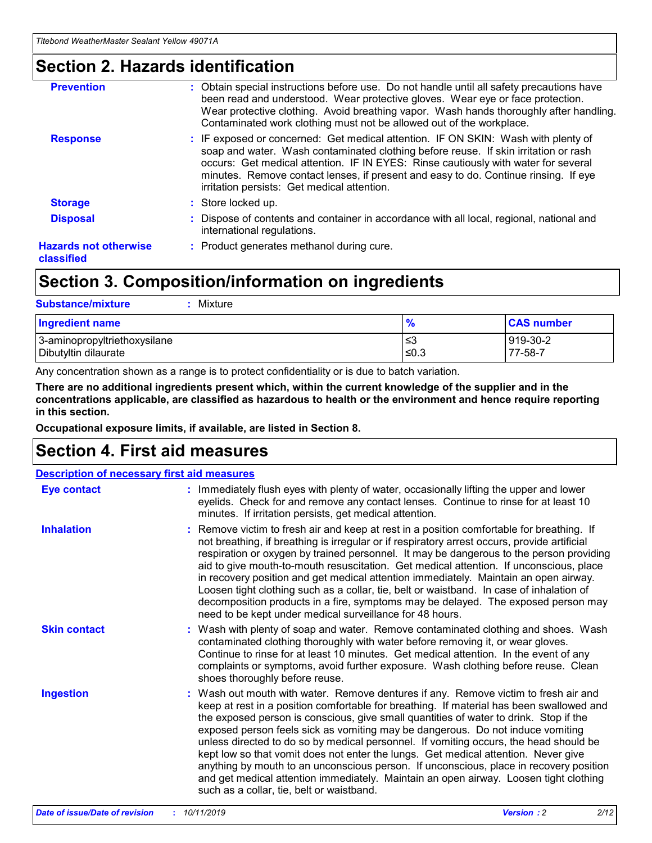### **Section 2. Hazards identification**

| <b>Prevention</b>                          | : Obtain special instructions before use. Do not handle until all safety precautions have<br>been read and understood. Wear protective gloves. Wear eye or face protection.<br>Wear protective clothing. Avoid breathing vapor. Wash hands thoroughly after handling.<br>Contaminated work clothing must not be allowed out of the workplace.                                                        |
|--------------------------------------------|------------------------------------------------------------------------------------------------------------------------------------------------------------------------------------------------------------------------------------------------------------------------------------------------------------------------------------------------------------------------------------------------------|
| <b>Response</b>                            | : IF exposed or concerned: Get medical attention. IF ON SKIN: Wash with plenty of<br>soap and water. Wash contaminated clothing before reuse. If skin irritation or rash<br>occurs: Get medical attention. IF IN EYES: Rinse cautiously with water for several<br>minutes. Remove contact lenses, if present and easy to do. Continue rinsing. If eye<br>irritation persists: Get medical attention. |
| <b>Storage</b>                             | : Store locked up.                                                                                                                                                                                                                                                                                                                                                                                   |
| <b>Disposal</b>                            | : Dispose of contents and container in accordance with all local, regional, national and<br>international regulations.                                                                                                                                                                                                                                                                               |
| <b>Hazards not otherwise</b><br>classified | : Product generates methanol during cure.                                                                                                                                                                                                                                                                                                                                                            |
|                                            |                                                                                                                                                                                                                                                                                                                                                                                                      |

## **Section 3. Composition/information on ingredients**

| <b>Substance/mixture</b><br>Mixture                  |               |                     |
|------------------------------------------------------|---------------|---------------------|
| <b>Ingredient name</b>                               | $\frac{9}{6}$ | <b>CAS number</b>   |
| 3-aminopropyltriethoxysilane<br>Dibutyltin dilaurate | ≤3<br>$≤0.3$  | 919-30-2<br>77-58-7 |

Any concentration shown as a range is to protect confidentiality or is due to batch variation.

**There are no additional ingredients present which, within the current knowledge of the supplier and in the concentrations applicable, are classified as hazardous to health or the environment and hence require reporting in this section.**

**Occupational exposure limits, if available, are listed in Section 8.**

### **Section 4. First aid measures**

| <b>Description of necessary first aid measures</b> |                                                                                                                                                                                                                                                                                                                                                                                                                                                                                                                                                                                                                                                                                                                                                                           |  |  |  |
|----------------------------------------------------|---------------------------------------------------------------------------------------------------------------------------------------------------------------------------------------------------------------------------------------------------------------------------------------------------------------------------------------------------------------------------------------------------------------------------------------------------------------------------------------------------------------------------------------------------------------------------------------------------------------------------------------------------------------------------------------------------------------------------------------------------------------------------|--|--|--|
| <b>Eye contact</b>                                 | : Immediately flush eyes with plenty of water, occasionally lifting the upper and lower<br>eyelids. Check for and remove any contact lenses. Continue to rinse for at least 10<br>minutes. If irritation persists, get medical attention.                                                                                                                                                                                                                                                                                                                                                                                                                                                                                                                                 |  |  |  |
| <b>Inhalation</b>                                  | : Remove victim to fresh air and keep at rest in a position comfortable for breathing. If<br>not breathing, if breathing is irregular or if respiratory arrest occurs, provide artificial<br>respiration or oxygen by trained personnel. It may be dangerous to the person providing<br>aid to give mouth-to-mouth resuscitation. Get medical attention. If unconscious, place<br>in recovery position and get medical attention immediately. Maintain an open airway.<br>Loosen tight clothing such as a collar, tie, belt or waistband. In case of inhalation of<br>decomposition products in a fire, symptoms may be delayed. The exposed person may<br>need to be kept under medical surveillance for 48 hours.                                                       |  |  |  |
| <b>Skin contact</b>                                | : Wash with plenty of soap and water. Remove contaminated clothing and shoes. Wash<br>contaminated clothing thoroughly with water before removing it, or wear gloves.<br>Continue to rinse for at least 10 minutes. Get medical attention. In the event of any<br>complaints or symptoms, avoid further exposure. Wash clothing before reuse. Clean<br>shoes thoroughly before reuse.                                                                                                                                                                                                                                                                                                                                                                                     |  |  |  |
| <b>Ingestion</b>                                   | : Wash out mouth with water. Remove dentures if any. Remove victim to fresh air and<br>keep at rest in a position comfortable for breathing. If material has been swallowed and<br>the exposed person is conscious, give small quantities of water to drink. Stop if the<br>exposed person feels sick as vomiting may be dangerous. Do not induce vomiting<br>unless directed to do so by medical personnel. If vomiting occurs, the head should be<br>kept low so that vomit does not enter the lungs. Get medical attention. Never give<br>anything by mouth to an unconscious person. If unconscious, place in recovery position<br>and get medical attention immediately. Maintain an open airway. Loosen tight clothing<br>such as a collar, tie, belt or waistband. |  |  |  |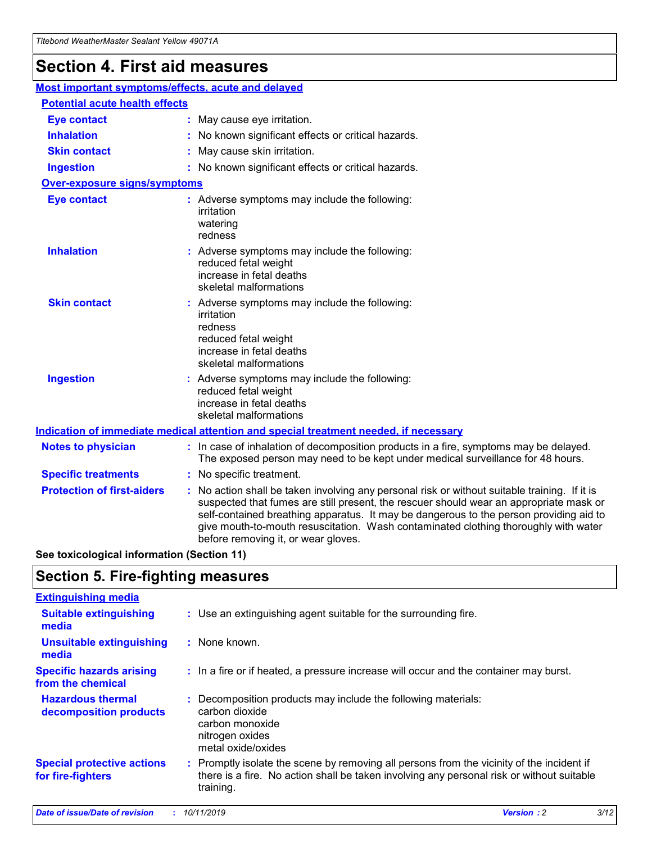## **Section 4. First aid measures**

| Most important symptoms/effects, acute and delayed |                                       |                                                                                                                                                                                                                                                                                                                                                                                                                 |  |  |  |
|----------------------------------------------------|---------------------------------------|-----------------------------------------------------------------------------------------------------------------------------------------------------------------------------------------------------------------------------------------------------------------------------------------------------------------------------------------------------------------------------------------------------------------|--|--|--|
|                                                    | <b>Potential acute health effects</b> |                                                                                                                                                                                                                                                                                                                                                                                                                 |  |  |  |
| <b>Eye contact</b>                                 |                                       | : May cause eye irritation.                                                                                                                                                                                                                                                                                                                                                                                     |  |  |  |
| <b>Inhalation</b>                                  |                                       | : No known significant effects or critical hazards.                                                                                                                                                                                                                                                                                                                                                             |  |  |  |
| <b>Skin contact</b>                                |                                       | : May cause skin irritation.                                                                                                                                                                                                                                                                                                                                                                                    |  |  |  |
| <b>Ingestion</b>                                   |                                       | : No known significant effects or critical hazards.                                                                                                                                                                                                                                                                                                                                                             |  |  |  |
| <b>Over-exposure signs/symptoms</b>                |                                       |                                                                                                                                                                                                                                                                                                                                                                                                                 |  |  |  |
| <b>Eye contact</b>                                 |                                       | : Adverse symptoms may include the following:<br>irritation<br>watering<br>redness                                                                                                                                                                                                                                                                                                                              |  |  |  |
| <b>Inhalation</b>                                  |                                       | : Adverse symptoms may include the following:<br>reduced fetal weight<br>increase in fetal deaths<br>skeletal malformations                                                                                                                                                                                                                                                                                     |  |  |  |
| <b>Skin contact</b>                                |                                       | : Adverse symptoms may include the following:<br>irritation<br>redness<br>reduced fetal weight<br>increase in fetal deaths<br>skeletal malformations                                                                                                                                                                                                                                                            |  |  |  |
| <b>Ingestion</b>                                   |                                       | : Adverse symptoms may include the following:<br>reduced fetal weight<br>increase in fetal deaths<br>skeletal malformations                                                                                                                                                                                                                                                                                     |  |  |  |
|                                                    |                                       | <b>Indication of immediate medical attention and special treatment needed, if necessary</b>                                                                                                                                                                                                                                                                                                                     |  |  |  |
| <b>Notes to physician</b>                          |                                       | : In case of inhalation of decomposition products in a fire, symptoms may be delayed.<br>The exposed person may need to be kept under medical surveillance for 48 hours.                                                                                                                                                                                                                                        |  |  |  |
| <b>Specific treatments</b>                         |                                       | : No specific treatment.                                                                                                                                                                                                                                                                                                                                                                                        |  |  |  |
| <b>Protection of first-aiders</b>                  |                                       | : No action shall be taken involving any personal risk or without suitable training. If it is<br>suspected that fumes are still present, the rescuer should wear an appropriate mask or<br>self-contained breathing apparatus. It may be dangerous to the person providing aid to<br>give mouth-to-mouth resuscitation. Wash contaminated clothing thoroughly with water<br>before removing it, or wear gloves. |  |  |  |

**See toxicological information (Section 11)**

### **Section 5. Fire-fighting measures**

| <b>Extinguishing media</b>                             |                                                                                                                                                                                                     |
|--------------------------------------------------------|-----------------------------------------------------------------------------------------------------------------------------------------------------------------------------------------------------|
| <b>Suitable extinguishing</b><br>media                 | : Use an extinguishing agent suitable for the surrounding fire.                                                                                                                                     |
| <b>Unsuitable extinguishing</b><br>media               | : None known.                                                                                                                                                                                       |
| <b>Specific hazards arising</b><br>from the chemical   | : In a fire or if heated, a pressure increase will occur and the container may burst.                                                                                                               |
| <b>Hazardous thermal</b><br>decomposition products     | : Decomposition products may include the following materials:<br>carbon dioxide<br>carbon monoxide<br>nitrogen oxides<br>metal oxide/oxides                                                         |
| <b>Special protective actions</b><br>for fire-fighters | : Promptly isolate the scene by removing all persons from the vicinity of the incident if<br>there is a fire. No action shall be taken involving any personal risk or without suitable<br>training. |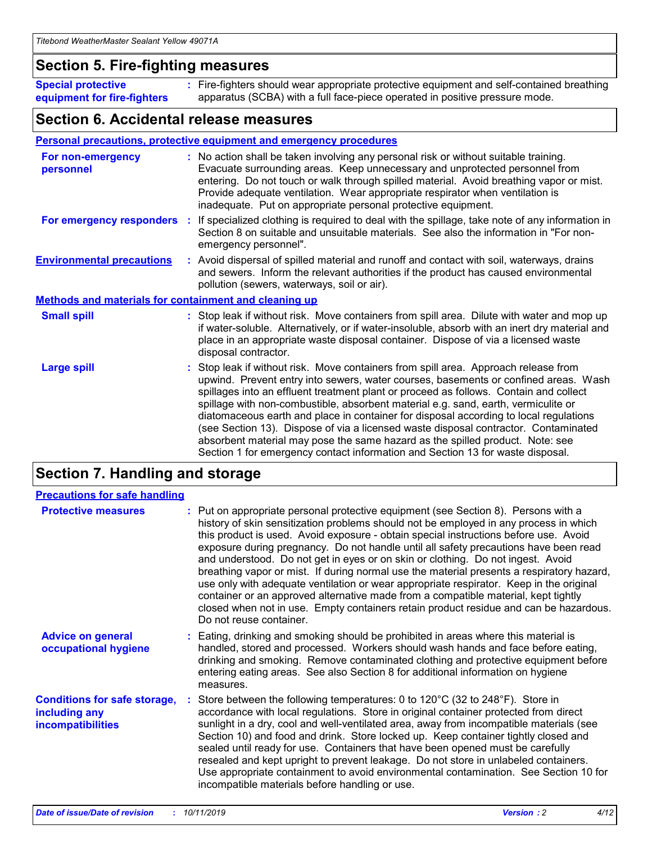### **Section 5. Fire-fighting measures**

**Special protective equipment for fire-fighters** Fire-fighters should wear appropriate protective equipment and self-contained breathing **:** apparatus (SCBA) with a full face-piece operated in positive pressure mode.

### **Section 6. Accidental release measures**

### **Personal precautions, protective equipment and emergency procedures**

| For non-emergency<br>personnel                               | : No action shall be taken involving any personal risk or without suitable training.<br>Evacuate surrounding areas. Keep unnecessary and unprotected personnel from<br>entering. Do not touch or walk through spilled material. Avoid breathing vapor or mist.<br>Provide adequate ventilation. Wear appropriate respirator when ventilation is<br>inadequate. Put on appropriate personal protective equipment.                                                                                                                                                                                                                                                                                             |
|--------------------------------------------------------------|--------------------------------------------------------------------------------------------------------------------------------------------------------------------------------------------------------------------------------------------------------------------------------------------------------------------------------------------------------------------------------------------------------------------------------------------------------------------------------------------------------------------------------------------------------------------------------------------------------------------------------------------------------------------------------------------------------------|
| For emergency responders                                     | : If specialized clothing is required to deal with the spillage, take note of any information in<br>Section 8 on suitable and unsuitable materials. See also the information in "For non-<br>emergency personnel".                                                                                                                                                                                                                                                                                                                                                                                                                                                                                           |
| <b>Environmental precautions</b>                             | : Avoid dispersal of spilled material and runoff and contact with soil, waterways, drains<br>and sewers. Inform the relevant authorities if the product has caused environmental<br>pollution (sewers, waterways, soil or air).                                                                                                                                                                                                                                                                                                                                                                                                                                                                              |
| <b>Methods and materials for containment and cleaning up</b> |                                                                                                                                                                                                                                                                                                                                                                                                                                                                                                                                                                                                                                                                                                              |
| <b>Small spill</b>                                           | : Stop leak if without risk. Move containers from spill area. Dilute with water and mop up<br>if water-soluble. Alternatively, or if water-insoluble, absorb with an inert dry material and<br>place in an appropriate waste disposal container. Dispose of via a licensed waste<br>disposal contractor.                                                                                                                                                                                                                                                                                                                                                                                                     |
| <b>Large spill</b>                                           | : Stop leak if without risk. Move containers from spill area. Approach release from<br>upwind. Prevent entry into sewers, water courses, basements or confined areas. Wash<br>spillages into an effluent treatment plant or proceed as follows. Contain and collect<br>spillage with non-combustible, absorbent material e.g. sand, earth, vermiculite or<br>diatomaceous earth and place in container for disposal according to local regulations<br>(see Section 13). Dispose of via a licensed waste disposal contractor. Contaminated<br>absorbent material may pose the same hazard as the spilled product. Note: see<br>Section 1 for emergency contact information and Section 13 for waste disposal. |

## **Section 7. Handling and storage**

| <b>Precautions for safe handling</b>                                             |                                                                                                                                                                                                                                                                                                                                                                                                                                                                                                                                                                                                                                                                                                                                                                                                                                                  |
|----------------------------------------------------------------------------------|--------------------------------------------------------------------------------------------------------------------------------------------------------------------------------------------------------------------------------------------------------------------------------------------------------------------------------------------------------------------------------------------------------------------------------------------------------------------------------------------------------------------------------------------------------------------------------------------------------------------------------------------------------------------------------------------------------------------------------------------------------------------------------------------------------------------------------------------------|
| <b>Protective measures</b>                                                       | : Put on appropriate personal protective equipment (see Section 8). Persons with a<br>history of skin sensitization problems should not be employed in any process in which<br>this product is used. Avoid exposure - obtain special instructions before use. Avoid<br>exposure during pregnancy. Do not handle until all safety precautions have been read<br>and understood. Do not get in eyes or on skin or clothing. Do not ingest. Avoid<br>breathing vapor or mist. If during normal use the material presents a respiratory hazard,<br>use only with adequate ventilation or wear appropriate respirator. Keep in the original<br>container or an approved alternative made from a compatible material, kept tightly<br>closed when not in use. Empty containers retain product residue and can be hazardous.<br>Do not reuse container. |
| <b>Advice on general</b><br>occupational hygiene                                 | : Eating, drinking and smoking should be prohibited in areas where this material is<br>handled, stored and processed. Workers should wash hands and face before eating,<br>drinking and smoking. Remove contaminated clothing and protective equipment before<br>entering eating areas. See also Section 8 for additional information on hygiene<br>measures.                                                                                                                                                                                                                                                                                                                                                                                                                                                                                    |
| <b>Conditions for safe storage,</b><br>including any<br><b>incompatibilities</b> | Store between the following temperatures: 0 to 120°C (32 to 248°F). Store in<br>accordance with local regulations. Store in original container protected from direct<br>sunlight in a dry, cool and well-ventilated area, away from incompatible materials (see<br>Section 10) and food and drink. Store locked up. Keep container tightly closed and<br>sealed until ready for use. Containers that have been opened must be carefully<br>resealed and kept upright to prevent leakage. Do not store in unlabeled containers.<br>Use appropriate containment to avoid environmental contamination. See Section 10 for<br>incompatible materials before handling or use.                                                                                                                                                                         |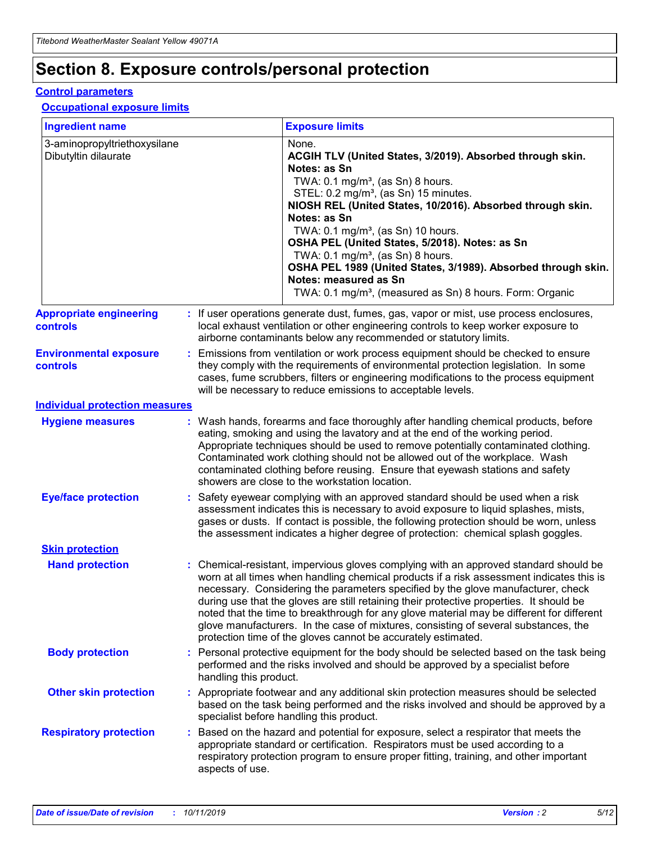## **Section 8. Exposure controls/personal protection**

### **Control parameters**

### **Occupational exposure limits**

| <b>Ingredient name</b>                               |    |                                          | <b>Exposure limits</b>                                                                                                                                                                                                                                                                                                                                                                                                                                                                                                                                                                                                 |
|------------------------------------------------------|----|------------------------------------------|------------------------------------------------------------------------------------------------------------------------------------------------------------------------------------------------------------------------------------------------------------------------------------------------------------------------------------------------------------------------------------------------------------------------------------------------------------------------------------------------------------------------------------------------------------------------------------------------------------------------|
| 3-aminopropyltriethoxysilane<br>Dibutyltin dilaurate |    |                                          | None.<br>ACGIH TLV (United States, 3/2019). Absorbed through skin.<br>Notes: as Sn<br>TWA: 0.1 mg/m <sup>3</sup> , (as Sn) 8 hours.<br>STEL: 0.2 mg/m <sup>3</sup> , (as Sn) 15 minutes.<br>NIOSH REL (United States, 10/2016). Absorbed through skin.<br>Notes: as Sn<br>TWA: 0.1 mg/m <sup>3</sup> , (as Sn) 10 hours.<br>OSHA PEL (United States, 5/2018). Notes: as Sn<br>TWA: $0.1 \text{ mg/m}^3$ , (as Sn) 8 hours.<br>OSHA PEL 1989 (United States, 3/1989). Absorbed through skin.<br>Notes: measured as Sn<br>TWA: 0.1 mg/m <sup>3</sup> , (measured as Sn) 8 hours. Form: Organic                           |
| <b>Appropriate engineering</b><br>controls           |    |                                          | : If user operations generate dust, fumes, gas, vapor or mist, use process enclosures,<br>local exhaust ventilation or other engineering controls to keep worker exposure to<br>airborne contaminants below any recommended or statutory limits.                                                                                                                                                                                                                                                                                                                                                                       |
| <b>Environmental exposure</b><br><b>controls</b>     |    |                                          | Emissions from ventilation or work process equipment should be checked to ensure<br>they comply with the requirements of environmental protection legislation. In some<br>cases, fume scrubbers, filters or engineering modifications to the process equipment<br>will be necessary to reduce emissions to acceptable levels.                                                                                                                                                                                                                                                                                          |
| <b>Individual protection measures</b>                |    |                                          |                                                                                                                                                                                                                                                                                                                                                                                                                                                                                                                                                                                                                        |
| <b>Hygiene measures</b>                              |    |                                          | : Wash hands, forearms and face thoroughly after handling chemical products, before<br>eating, smoking and using the lavatory and at the end of the working period.<br>Appropriate techniques should be used to remove potentially contaminated clothing.<br>Contaminated work clothing should not be allowed out of the workplace. Wash<br>contaminated clothing before reusing. Ensure that eyewash stations and safety<br>showers are close to the workstation location.                                                                                                                                            |
| <b>Eye/face protection</b>                           |    |                                          | : Safety eyewear complying with an approved standard should be used when a risk<br>assessment indicates this is necessary to avoid exposure to liquid splashes, mists,<br>gases or dusts. If contact is possible, the following protection should be worn, unless<br>the assessment indicates a higher degree of protection: chemical splash goggles.                                                                                                                                                                                                                                                                  |
| <b>Skin protection</b>                               |    |                                          |                                                                                                                                                                                                                                                                                                                                                                                                                                                                                                                                                                                                                        |
| <b>Hand protection</b>                               |    |                                          | : Chemical-resistant, impervious gloves complying with an approved standard should be<br>worn at all times when handling chemical products if a risk assessment indicates this is<br>necessary. Considering the parameters specified by the glove manufacturer, check<br>during use that the gloves are still retaining their protective properties. It should be<br>noted that the time to breakthrough for any glove material may be different for different<br>glove manufacturers. In the case of mixtures, consisting of several substances, the<br>protection time of the gloves cannot be accurately estimated. |
| <b>Body protection</b>                               |    | handling this product.                   | Personal protective equipment for the body should be selected based on the task being<br>performed and the risks involved and should be approved by a specialist before                                                                                                                                                                                                                                                                                                                                                                                                                                                |
| <b>Other skin protection</b>                         |    | specialist before handling this product. | : Appropriate footwear and any additional skin protection measures should be selected<br>based on the task being performed and the risks involved and should be approved by a                                                                                                                                                                                                                                                                                                                                                                                                                                          |
| <b>Respiratory protection</b>                        | ÷. | aspects of use.                          | Based on the hazard and potential for exposure, select a respirator that meets the<br>appropriate standard or certification. Respirators must be used according to a<br>respiratory protection program to ensure proper fitting, training, and other important                                                                                                                                                                                                                                                                                                                                                         |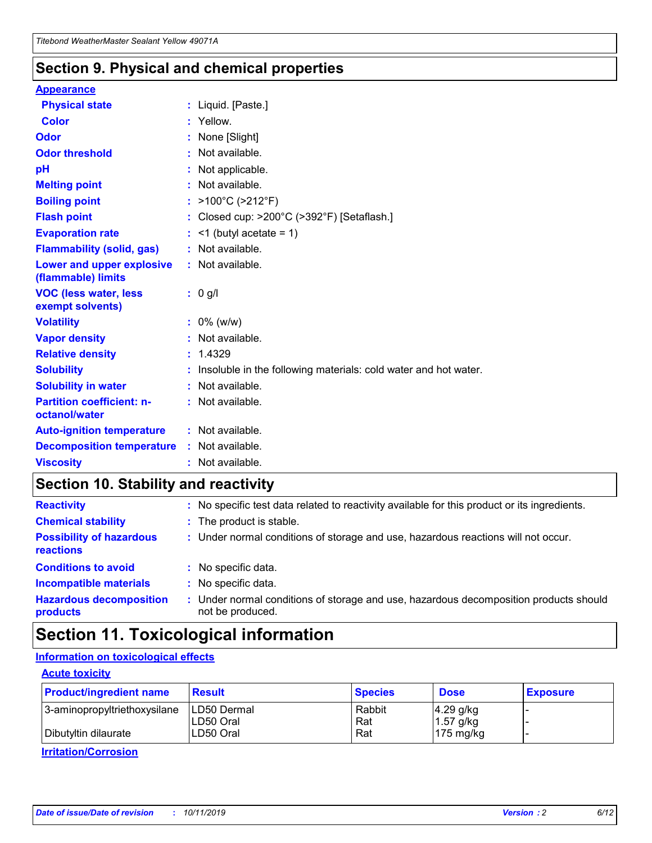### **Section 9. Physical and chemical properties**

#### **Appearance**

| <b>Physical state</b>                            | : Liquid. [Paste.]                                              |
|--------------------------------------------------|-----------------------------------------------------------------|
| <b>Color</b>                                     | : Yellow.                                                       |
| Odor                                             | None [Slight]                                                   |
| <b>Odor threshold</b>                            | $:$ Not available.                                              |
| рH                                               | : Not applicable.                                               |
| <b>Melting point</b>                             | : Not available.                                                |
| <b>Boiling point</b>                             | : >100°C (>212°F)                                               |
| <b>Flash point</b>                               | : Closed cup: >200°C (>392°F) [Setaflash.]                      |
| <b>Evaporation rate</b>                          | $:$ <1 (butyl acetate = 1)                                      |
| <b>Flammability (solid, gas)</b>                 | : Not available.                                                |
| Lower and upper explosive<br>(flammable) limits  | : Not available.                                                |
| <b>VOC (less water, less</b><br>exempt solvents) | : 0 g/l                                                         |
| <b>Volatility</b>                                | $: 0\%$ (w/w)                                                   |
| <b>Vapor density</b>                             | : Not available.                                                |
| <b>Relative density</b>                          | : 1.4329                                                        |
| <b>Solubility</b>                                | Insoluble in the following materials: cold water and hot water. |
| <b>Solubility in water</b>                       | $:$ Not available.                                              |
| <b>Partition coefficient: n-</b>                 | $:$ Not available.                                              |
| octanol/water                                    |                                                                 |
| <b>Auto-ignition temperature</b>                 | : Not available.                                                |
| <b>Decomposition temperature</b>                 | : Not available.                                                |

## **Section 10. Stability and reactivity**

| <b>Reactivity</b>                            |    | : No specific test data related to reactivity available for this product or its ingredients.            |
|----------------------------------------------|----|---------------------------------------------------------------------------------------------------------|
| <b>Chemical stability</b>                    |    | : The product is stable.                                                                                |
| <b>Possibility of hazardous</b><br>reactions |    | : Under normal conditions of storage and use, hazardous reactions will not occur.                       |
| <b>Conditions to avoid</b>                   |    | : No specific data.                                                                                     |
| <b>Incompatible materials</b>                | ٠. | No specific data.                                                                                       |
| <b>Hazardous decomposition</b><br>products   | ÷. | Under normal conditions of storage and use, hazardous decomposition products should<br>not be produced. |

## **Section 11. Toxicological information**

### **Information on toxicological effects**

### **Acute toxicity**

| <b>Product/ingredient name</b> | <b>Result</b>           | <b>Species</b> | <b>Dose</b>                | <b>Exposure</b> |
|--------------------------------|-------------------------|----------------|----------------------------|-----------------|
| 3-aminopropyltriethoxysilane   | <b>ILD50 Dermal</b>     | Rabbit         | 4.29 g/kg                  |                 |
| Dibutyltin dilaurate           | ILD50 Oral<br>LD50 Oral | Rat<br>Rat     | $1.57$ g/kg<br>175 $mg/kg$ |                 |
|                                |                         |                |                            |                 |

**Irritation/Corrosion**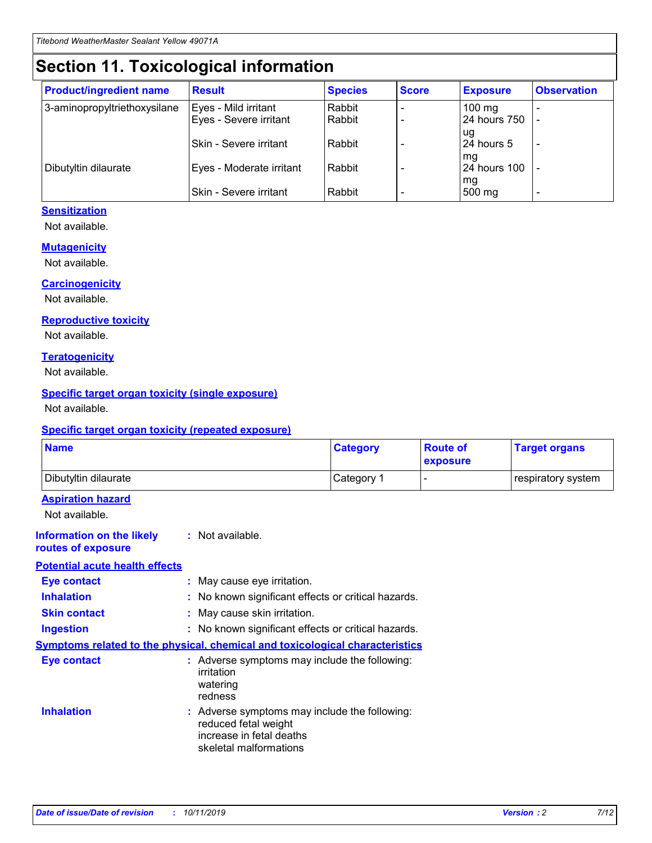## **Section 11. Toxicological information**

| <b>Product/ingredient name</b> | <b>Result</b>                 | <b>Species</b> | <b>Score</b> | <b>Exposure</b>    | <b>Observation</b> |
|--------------------------------|-------------------------------|----------------|--------------|--------------------|--------------------|
| 3-aminopropyltriethoxysilane   | Eyes - Mild irritant          | Rabbit         |              | $100 \text{ mg}$   |                    |
|                                | Eyes - Severe irritant        | Rabbit         |              | 24 hours 750       |                    |
|                                |                               |                |              | ug                 |                    |
|                                | <b>Skin - Severe irritant</b> | Rabbit         |              | 24 hours 5         | -                  |
| Dibutyltin dilaurate           | Eyes - Moderate irritant      | Rabbit         |              | mq<br>24 hours 100 |                    |
|                                |                               |                |              | mg                 |                    |
|                                | Skin - Severe irritant        | Rabbit         |              | 500 mg             |                    |

### **Sensitization**

Not available.

### **Mutagenicity**

Not available.

#### **Carcinogenicity**

Not available.

#### **Reproductive toxicity**

Not available.

#### **Teratogenicity**

Not available.

### **Specific target organ toxicity (single exposure)**

Not available.

#### **Specific target organ toxicity (repeated exposure)**

| <b>Name</b>                                                                         |                                                                            | <b>Category</b>                                     | <b>Route of</b><br>exposure | <b>Target organs</b> |
|-------------------------------------------------------------------------------------|----------------------------------------------------------------------------|-----------------------------------------------------|-----------------------------|----------------------|
| Dibutyltin dilaurate                                                                |                                                                            | Category 1                                          |                             | respiratory system   |
| <b>Aspiration hazard</b><br>Not available.                                          |                                                                            |                                                     |                             |                      |
| <b>Information on the likely</b><br>routes of exposure                              | : Not available.                                                           |                                                     |                             |                      |
| <b>Potential acute health effects</b>                                               |                                                                            |                                                     |                             |                      |
| <b>Eye contact</b>                                                                  | : May cause eye irritation.                                                |                                                     |                             |                      |
| <b>Inhalation</b>                                                                   |                                                                            | : No known significant effects or critical hazards. |                             |                      |
| <b>Skin contact</b>                                                                 | : May cause skin irritation.                                               |                                                     |                             |                      |
| <b>Ingestion</b>                                                                    |                                                                            | : No known significant effects or critical hazards. |                             |                      |
| <b>Symptoms related to the physical, chemical and toxicological characteristics</b> |                                                                            |                                                     |                             |                      |
| <b>Eye contact</b>                                                                  | irritation<br>watering<br>redness                                          | : Adverse symptoms may include the following:       |                             |                      |
| <b>Inhalation</b>                                                                   | reduced fetal weight<br>increase in fetal deaths<br>skeletal malformations | : Adverse symptoms may include the following:       |                             |                      |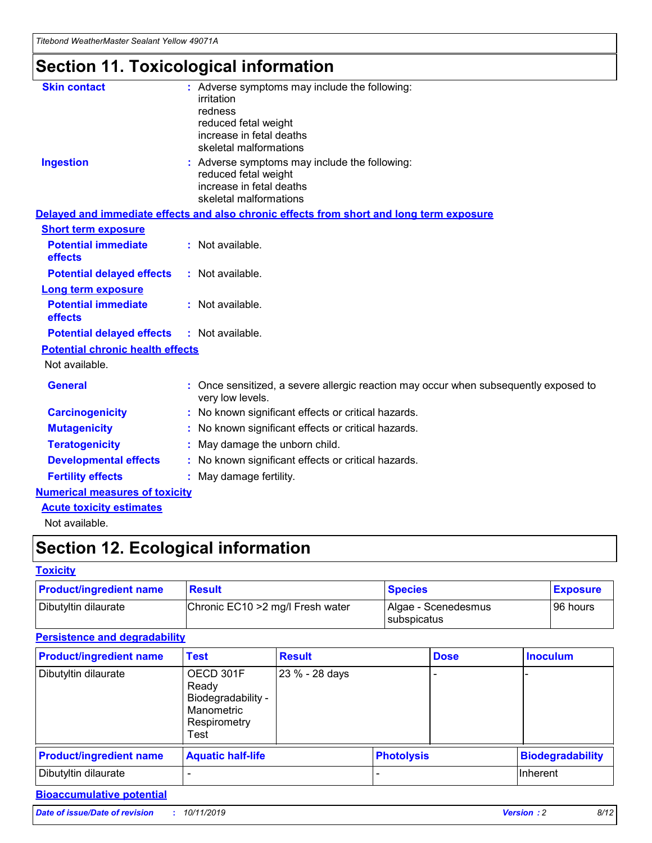*Titebond WeatherMaster Sealant Yellow 49071A*

## **Section 11. Toxicological information**

| <b>Skin contact</b>                     | : Adverse symptoms may include the following:<br>irritation<br>redness<br>reduced fetal weight<br>increase in fetal deaths<br>skeletal malformations |
|-----------------------------------------|------------------------------------------------------------------------------------------------------------------------------------------------------|
| <b>Ingestion</b>                        | : Adverse symptoms may include the following:<br>reduced fetal weight<br>increase in fetal deaths<br>skeletal malformations                          |
|                                         | Delayed and immediate effects and also chronic effects from short and long term exposure                                                             |
| <b>Short term exposure</b>              |                                                                                                                                                      |
| <b>Potential immediate</b><br>effects   | : Not available.                                                                                                                                     |
| <b>Potential delayed effects</b>        | : Not available.                                                                                                                                     |
| Long term exposure                      |                                                                                                                                                      |
| <b>Potential immediate</b><br>effects   | : Not available.                                                                                                                                     |
| <b>Potential delayed effects</b>        | : Not available.                                                                                                                                     |
| <b>Potential chronic health effects</b> |                                                                                                                                                      |
| Not available.                          |                                                                                                                                                      |
| <b>General</b>                          | Once sensitized, a severe allergic reaction may occur when subsequently exposed to<br>very low levels.                                               |
| <b>Carcinogenicity</b>                  | : No known significant effects or critical hazards.                                                                                                  |
| <b>Mutagenicity</b>                     | : No known significant effects or critical hazards.                                                                                                  |
| <b>Teratogenicity</b>                   | May damage the unborn child.                                                                                                                         |
| <b>Developmental effects</b>            | : No known significant effects or critical hazards.                                                                                                  |
| <b>Fertility effects</b>                | : May damage fertility.                                                                                                                              |
| <b>Numerical measures of toxicity</b>   |                                                                                                                                                      |
| <b>Acute toxicity estimates</b>         |                                                                                                                                                      |
| الملمانون بمللملة                       |                                                                                                                                                      |

Not available.

## **Section 12. Ecological information**

### **Toxicity**

| <b>Product/ingredient name</b> | <b>Result</b>                     | <b>Species</b>                              | <b>Exposure</b> |
|--------------------------------|-----------------------------------|---------------------------------------------|-----------------|
| Dibutyltin dilaurate           | Chronic EC10 > 2 mg/l Fresh water | Algae - Scenedesmus<br><b>I</b> subspicatus | l 96 hours      |

### **Persistence and degradability**

| <b>Product/ingredient name</b> | Test                                                                           | <b>Result</b>  |  | <b>Dose</b>       | <b>Inoculum</b>         |
|--------------------------------|--------------------------------------------------------------------------------|----------------|--|-------------------|-------------------------|
| Dibutyltin dilaurate           | OECD 301F<br>Ready<br>Biodegradability -<br>Manometric<br>Respirometry<br>Test | 23 % - 28 days |  |                   |                         |
| <b>Product/ingredient name</b> | <b>Aquatic half-life</b>                                                       |                |  | <b>Photolysis</b> | <b>Biodegradability</b> |
| Dibutyltin dilaurate           |                                                                                |                |  |                   | Inherent                |

### **Bioaccumulative potential**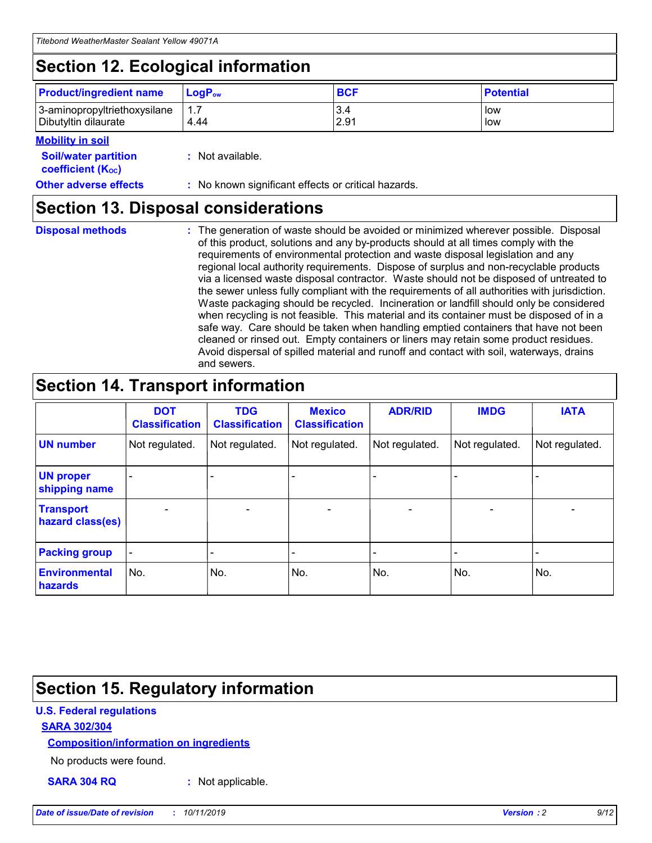## **Section 12. Ecological information**

| <b>Product/ingredient name</b>                       | ∣LoqP <sub>ow</sub> | <b>BCF</b>  | <b>Potential</b> |
|------------------------------------------------------|---------------------|-------------|------------------|
| 3-aminopropyltriethoxysilane<br>Dibutyltin dilaurate | 4.44                | 3.4<br>2.91 | low<br>low       |

### **Mobility in soil**

| <b>Soil/water partition</b><br>coefficient (K <sub>oc</sub> ) | : Not available.                                    |
|---------------------------------------------------------------|-----------------------------------------------------|
| <b>Other adverse effects</b>                                  | : No known significant effects or critical hazards. |

### **Section 13. Disposal considerations**

| <b>Disposal methods</b> |  |  |
|-------------------------|--|--|

**Disposal methods** : The generation of waste should be avoided or minimized wherever possible. Disposal of this product, solutions and any by-products should at all times comply with the requirements of environmental protection and waste disposal legislation and any regional local authority requirements. Dispose of surplus and non-recyclable products via a licensed waste disposal contractor. Waste should not be disposed of untreated to the sewer unless fully compliant with the requirements of all authorities with jurisdiction. Waste packaging should be recycled. Incineration or landfill should only be considered when recycling is not feasible. This material and its container must be disposed of in a safe way. Care should be taken when handling emptied containers that have not been cleaned or rinsed out. Empty containers or liners may retain some product residues. Avoid dispersal of spilled material and runoff and contact with soil, waterways, drains and sewers.

## **Section 14. Transport information**

|                                      | <b>DOT</b><br><b>Classification</b> | <b>TDG</b><br><b>Classification</b> | <b>Mexico</b><br><b>Classification</b> | <b>ADR/RID</b> | <b>IMDG</b>              | <b>IATA</b>              |
|--------------------------------------|-------------------------------------|-------------------------------------|----------------------------------------|----------------|--------------------------|--------------------------|
| <b>UN number</b>                     | Not regulated.                      | Not regulated.                      | Not regulated.                         | Not regulated. | Not regulated.           | Not regulated.           |
| <b>UN proper</b><br>shipping name    | $\blacksquare$                      |                                     |                                        |                |                          |                          |
| <b>Transport</b><br>hazard class(es) | $\blacksquare$                      | $\overline{\phantom{a}}$            | $\blacksquare$                         | $\blacksquare$ | $\overline{\phantom{a}}$ | $\blacksquare$           |
| <b>Packing group</b>                 | $\overline{\phantom{a}}$            | $\overline{\phantom{0}}$            | $\overline{\phantom{a}}$               | -              | $\overline{\phantom{0}}$ | $\overline{\phantom{a}}$ |
| <b>Environmental</b><br>hazards      | No.                                 | No.                                 | No.                                    | No.            | No.                      | No.                      |

## **Section 15. Regulatory information**

### **U.S. Federal regulations**

### **SARA 302/304**

### **Composition/information on ingredients**

No products were found.

**SARA 304 RQ :** Not applicable.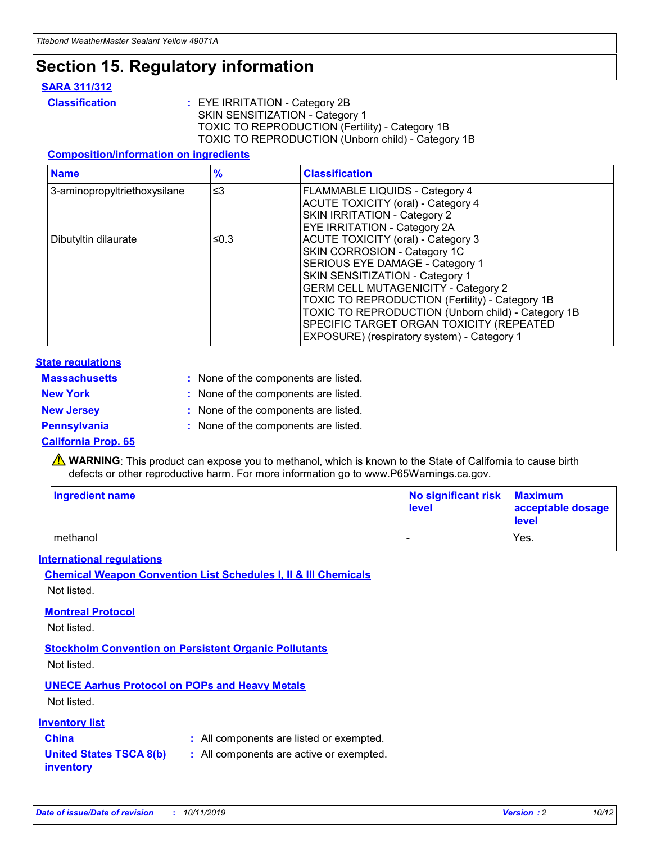## **Section 15. Regulatory information**

### **SARA 311/312**

**Classification :** EYE IRRITATION - Category 2B SKIN SENSITIZATION - Category 1 TOXIC TO REPRODUCTION (Fertility) - Category 1B TOXIC TO REPRODUCTION (Unborn child) - Category 1B

### **Composition/information on ingredients**

| <b>Name</b>                  | $\frac{9}{6}$ | <b>Classification</b>                                                                                            |
|------------------------------|---------------|------------------------------------------------------------------------------------------------------------------|
| 3-aminopropyltriethoxysilane | $\leq$ 3      | <b>FLAMMABLE LIQUIDS - Category 4</b><br><b>ACUTE TOXICITY (oral) - Category 4</b>                               |
|                              |               | SKIN IRRITATION - Category 2<br>EYE IRRITATION - Category 2A                                                     |
| Dibutyltin dilaurate         | ≤0.3          | ACUTE TOXICITY (oral) - Category 3<br>SKIN CORROSION - Category 1C                                               |
|                              |               | SERIOUS EYE DAMAGE - Category 1<br>SKIN SENSITIZATION - Category 1<br><b>GERM CELL MUTAGENICITY - Category 2</b> |
|                              |               | TOXIC TO REPRODUCTION (Fertility) - Category 1B<br>TOXIC TO REPRODUCTION (Unborn child) - Category 1B            |
|                              |               | SPECIFIC TARGET ORGAN TOXICITY (REPEATED<br>EXPOSURE) (respiratory system) - Category 1                          |

### **State regulations**

| <b>Massachusetts</b> | : None of the components are listed. |
|----------------------|--------------------------------------|
| <b>New York</b>      | : None of the components are listed. |
| <b>New Jersey</b>    | : None of the components are listed. |
| <b>Pennsylvania</b>  | : None of the components are listed. |

### **California Prop. 65**

**A** WARNING: This product can expose you to methanol, which is known to the State of California to cause birth defects or other reproductive harm. For more information go to www.P65Warnings.ca.gov.

| <b>Ingredient name</b> | No significant risk Maximum<br>level | acceptable dosage<br>level |
|------------------------|--------------------------------------|----------------------------|
| methanol               |                                      | Yes.                       |

### **International regulations**

**Chemical Weapon Convention List Schedules I, II & III Chemicals** Not listed.

### **Montreal Protocol**

Not listed.

**Stockholm Convention on Persistent Organic Pollutants**

Not listed.

### **UNECE Aarhus Protocol on POPs and Heavy Metals**

Not listed.

### **Inventory list**

### **China :** All components are listed or exempted.

**United States TSCA 8(b) inventory :** All components are active or exempted.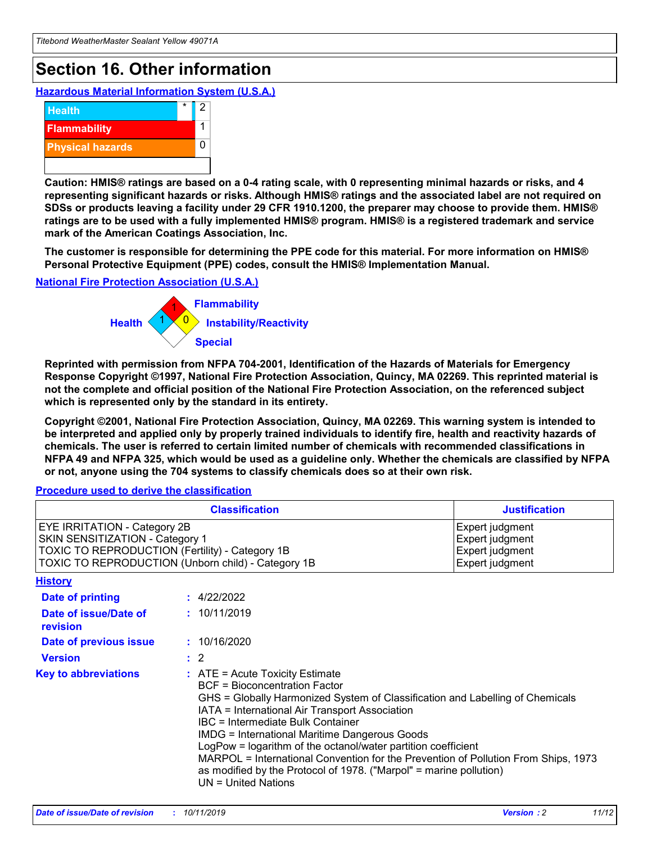## **Section 16. Other information**

**Hazardous Material Information System (U.S.A.)**



**Caution: HMIS® ratings are based on a 0-4 rating scale, with 0 representing minimal hazards or risks, and 4 representing significant hazards or risks. Although HMIS® ratings and the associated label are not required on SDSs or products leaving a facility under 29 CFR 1910.1200, the preparer may choose to provide them. HMIS® ratings are to be used with a fully implemented HMIS® program. HMIS® is a registered trademark and service mark of the American Coatings Association, Inc.**

**The customer is responsible for determining the PPE code for this material. For more information on HMIS® Personal Protective Equipment (PPE) codes, consult the HMIS® Implementation Manual.**

#### **National Fire Protection Association (U.S.A.)**



**Reprinted with permission from NFPA 704-2001, Identification of the Hazards of Materials for Emergency Response Copyright ©1997, National Fire Protection Association, Quincy, MA 02269. This reprinted material is not the complete and official position of the National Fire Protection Association, on the referenced subject which is represented only by the standard in its entirety.**

**Copyright ©2001, National Fire Protection Association, Quincy, MA 02269. This warning system is intended to be interpreted and applied only by properly trained individuals to identify fire, health and reactivity hazards of chemicals. The user is referred to certain limited number of chemicals with recommended classifications in NFPA 49 and NFPA 325, which would be used as a guideline only. Whether the chemicals are classified by NFPA or not, anyone using the 704 systems to classify chemicals does so at their own risk.**

**Procedure used to derive the classification**

|                                                                                                                    | <b>Classification</b>                                                                                                                            | <b>Justification</b>                                                                                                                                                                                                                                                                                                                                                                                                 |  |
|--------------------------------------------------------------------------------------------------------------------|--------------------------------------------------------------------------------------------------------------------------------------------------|----------------------------------------------------------------------------------------------------------------------------------------------------------------------------------------------------------------------------------------------------------------------------------------------------------------------------------------------------------------------------------------------------------------------|--|
| EYE IRRITATION - Category 2B<br>SKIN SENSITIZATION - Category 1<br>TOXIC TO REPRODUCTION (Fertility) - Category 1B | TOXIC TO REPRODUCTION (Unborn child) - Category 1B                                                                                               | Expert judgment<br>Expert judgment<br>Expert judgment<br>Expert judgment                                                                                                                                                                                                                                                                                                                                             |  |
| <b>History</b>                                                                                                     |                                                                                                                                                  |                                                                                                                                                                                                                                                                                                                                                                                                                      |  |
| Date of printing                                                                                                   | : 4/22/2022                                                                                                                                      |                                                                                                                                                                                                                                                                                                                                                                                                                      |  |
| Date of issue/Date of<br>revision                                                                                  | : 10/11/2019                                                                                                                                     |                                                                                                                                                                                                                                                                                                                                                                                                                      |  |
| Date of previous issue                                                                                             | : 10/16/2020                                                                                                                                     |                                                                                                                                                                                                                                                                                                                                                                                                                      |  |
| <b>Version</b>                                                                                                     | $\therefore$ 2                                                                                                                                   |                                                                                                                                                                                                                                                                                                                                                                                                                      |  |
| <b>Key to abbreviations</b>                                                                                        | $\therefore$ ATE = Acute Toxicity Estimate<br><b>BCF</b> = Bioconcentration Factor<br>IBC = Intermediate Bulk Container<br>$UN = United Nations$ | GHS = Globally Harmonized System of Classification and Labelling of Chemicals<br>IATA = International Air Transport Association<br><b>IMDG = International Maritime Dangerous Goods</b><br>LogPow = logarithm of the octanol/water partition coefficient<br>MARPOL = International Convention for the Prevention of Pollution From Ships, 1973<br>as modified by the Protocol of 1978. ("Marpol" = marine pollution) |  |